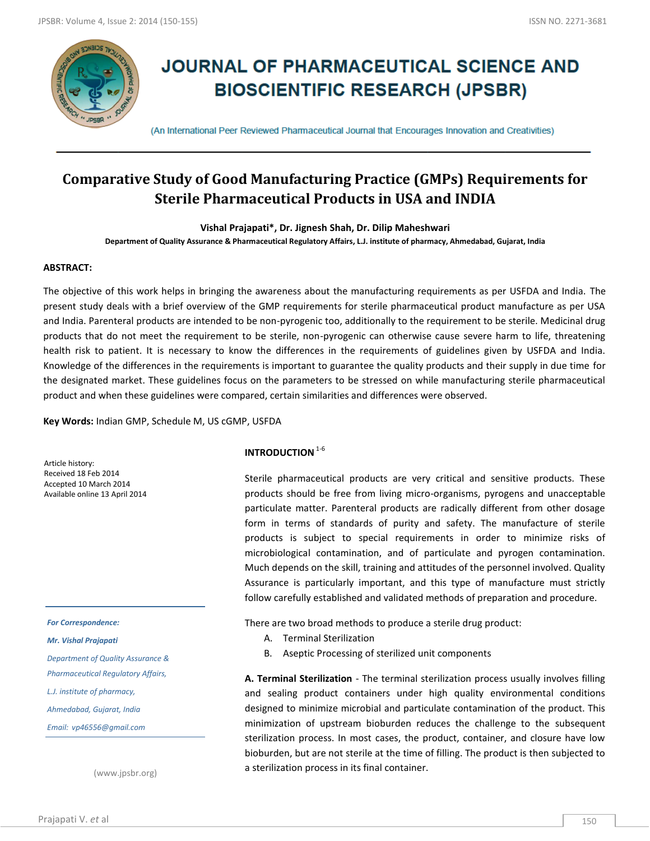

# **JOURNAL OF PHARMACEUTICAL SCIENCE AND BIOSCIENTIFIC RESEARCH (JPSBR)**

(An International Peer Reviewed Pharmaceutical Journal that Encourages Innovation and Creativities)

## **Comparative Study of Good Manufacturing Practice (GMPs) Requirements for Sterile Pharmaceutical Products in USA and INDIA**

**Vishal Prajapati\*, Dr. Jignesh Shah, Dr. Dilip Maheshwari**

**Department of Quality Assurance & Pharmaceutical Regulatory Affairs, L.J. institute of pharmacy, Ahmedabad, Gujarat, India**

#### **ABSTRACT:**

The objective of this work helps in bringing the awareness about the manufacturing requirements as per USFDA and India. The present study deals with a brief overview of the GMP requirements for sterile pharmaceutical product manufacture as per USA and India. Parenteral products are intended to be non-pyrogenic too, additionally to the requirement to be sterile. Medicinal drug products that do not meet the requirement to be sterile, non-pyrogenic can otherwise cause severe harm to life, threatening health risk to patient. It is necessary to know the differences in the requirements of guidelines given by USFDA and India. Knowledge of the differences in the requirements is important to guarantee the quality products and their supply in due time for the designated market. These guidelines focus on the parameters to be stressed on while manufacturing sterile pharmaceutical product and when these guidelines were compared, certain similarities and differences were observed.

**Key Words:** Indian GMP, Schedule M, US cGMP, USFDA

Article history: Received 18 Feb 2014 Accepted 10 March 2014 Available online 13 April 2014

#### *For Correspondence:*

#### *Mr. Vishal Prajapati*

*Department of Quality Assurance & Pharmaceutical Regulatory Affairs,* 

*L.J. institute of pharmacy,* 

*Ahmedabad, Gujarat, India*

*Email: vp46556@gmail.com*

(www.jpsbr.org)

## **INTRODUCTION**<sup>1-6</sup>

Sterile pharmaceutical products are very critical and sensitive products. These products should be free from living micro-organisms, pyrogens and unacceptable particulate matter. Parenteral products are radically different from other dosage form in terms of standards of purity and safety. The manufacture of sterile products is subject to special requirements in order to minimize risks of microbiological contamination, and of particulate and pyrogen contamination. Much depends on the skill, training and attitudes of the personnel involved. Quality Assurance is particularly important, and this type of manufacture must strictly follow carefully established and validated methods of preparation and procedure.

There are two broad methods to produce a sterile drug product:

- A. Terminal Sterilization
- B. Aseptic Processing of sterilized unit components

**A. Terminal Sterilization** - The terminal sterilization process usually involves filling and sealing product containers under high quality environmental conditions designed to minimize microbial and particulate contamination of the product. This minimization of upstream bioburden reduces the challenge to the subsequent sterilization process. In most cases, the product, container, and closure have low bioburden, but are not sterile at the time of filling. The product is then subjected to a sterilization process in its final container.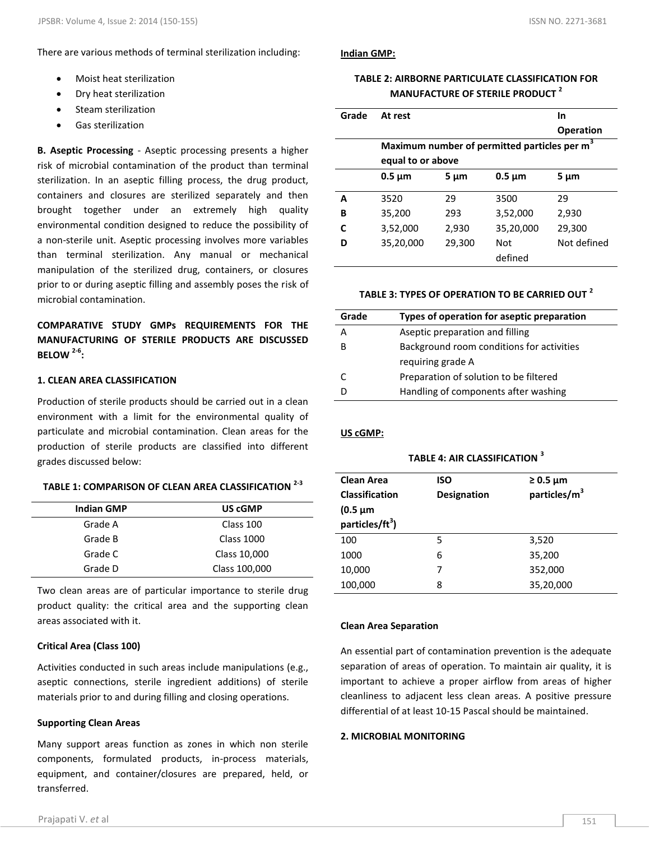#### There are various methods of terminal sterilization including:

- Moist heat sterilization
- Dry heat sterilization
- Steam sterilization
- Gas sterilization

**B. Aseptic Processing** - Aseptic processing presents a higher risk of microbial contamination of the product than terminal sterilization. In an aseptic filling process, the drug product, containers and closures are sterilized separately and then brought together under an extremely high quality environmental condition designed to reduce the possibility of a non-sterile unit. Aseptic processing involves more variables than terminal sterilization. Any manual or mechanical manipulation of the sterilized drug, containers, or closures prior to or during aseptic filling and assembly poses the risk of microbial contamination.

## **COMPARATIVE STUDY GMPs REQUIREMENTS FOR THE MANUFACTURING OF STERILE PRODUCTS ARE DISCUSSED BELOW 2-6 :**

#### **1. CLEAN AREA CLASSIFICATION**

Production of sterile products should be carried out in a clean environment with a limit for the environmental quality of particulate and microbial contamination. Clean areas for the production of sterile products are classified into different grades discussed below:

#### **TABLE 1: COMPARISON OF CLEAN AREA CLASSIFICATION 2-3**

| <b>Indian GMP</b> | US cGMP           |
|-------------------|-------------------|
| Grade A           | Class 100         |
| Grade B           | <b>Class 1000</b> |
| Grade C           | Class 10,000      |
| Grade D           | Class 100,000     |

Two clean areas are of particular importance to sterile drug product quality: the critical area and the supporting clean areas associated with it.

#### **Critical Area (Class 100)**

Activities conducted in such areas include manipulations (e.g., aseptic connections, sterile ingredient additions) of sterile materials prior to and during filling and closing operations.

#### **Supporting Clean Areas**

Many support areas function as zones in which non sterile components, formulated products, in-process materials, equipment, and container/closures are prepared, held, or transferred.

#### **Indian GMP:**

#### **TABLE 2: AIRBORNE PARTICULATE CLASSIFICATION FOR MANUFACTURE OF STERILE PRODUCT <sup>2</sup>**

| Grade | At rest           |        |                                                          | In               |
|-------|-------------------|--------|----------------------------------------------------------|------------------|
|       |                   |        |                                                          | <b>Operation</b> |
|       | equal to or above |        | Maximum number of permitted particles per m <sup>3</sup> |                  |
|       | $0.5 \mu m$       | 5 µm   | $0.5 \mu m$                                              | $5 \mu m$        |
| А     | 3520              | 29     | 3500                                                     | 29               |
| В     | 35,200            | 293    | 3,52,000                                                 | 2,930            |
| C     | 3,52,000          | 2,930  | 35,20,000                                                | 29,300           |
| D     | 35,20,000         | 29,300 | Not                                                      | Not defined      |
|       |                   |        | defined                                                  |                  |

#### **TABLE 3: TYPES OF OPERATION TO BE CARRIED OUT <sup>2</sup>**

| Grade | Types of operation for aseptic preparation |
|-------|--------------------------------------------|
| А     | Aseptic preparation and filling            |
| R     | Background room conditions for activities  |
|       | requiring grade A                          |
| C     | Preparation of solution to be filtered     |
|       | Handling of components after washing       |

**US cGMP:**

#### **TABLE 4: AIR CLASSIFICATION <sup>3</sup>**

| <b>Clean Area</b><br><b>Classification</b><br>$(0.5 \mu m)$<br>particles/ft <sup>3</sup> ) | ISO<br><b>Designation</b> | $\geq 0.5$ µm<br>particles/m <sup>3</sup> |
|--------------------------------------------------------------------------------------------|---------------------------|-------------------------------------------|
| 100                                                                                        | 5                         | 3,520                                     |
| 1000                                                                                       | 6                         | 35,200                                    |
| 10,000                                                                                     | 7                         | 352,000                                   |
| 100,000                                                                                    | 8                         | 35,20,000                                 |

#### **Clean Area Separation**

An essential part of contamination prevention is the adequate separation of areas of operation. To maintain air quality, it is important to achieve a proper airflow from areas of higher cleanliness to adjacent less clean areas. A positive pressure differential of at least 10-15 Pascal should be maintained.

#### **2. MICROBIAL MONITORING**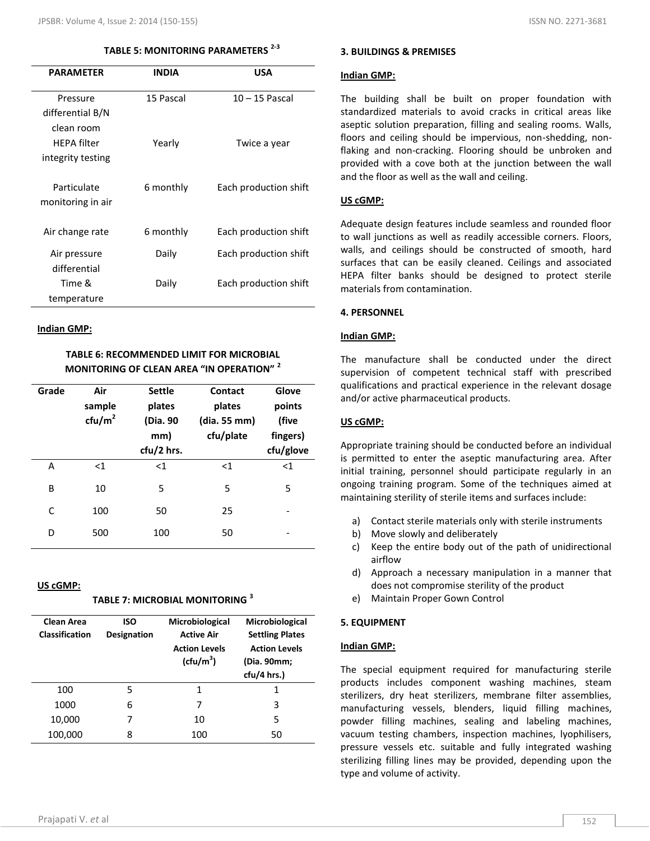## **TABLE 5: MONITORING PARAMETERS 2-3**

| <b>PARAMETER</b>                 | <b>INDIA</b> | <b>USA</b>            |
|----------------------------------|--------------|-----------------------|
| Pressure                         | 15 Pascal    | $10 - 15$ Pascal      |
| differential B/N                 |              |                       |
| clean room                       |              |                       |
| <b>HFPA</b> filter               | Yearly       | Twice a year          |
| integrity testing                |              |                       |
| Particulate<br>monitoring in air | 6 monthly    | Each production shift |
| Air change rate                  | 6 monthly    | Each production shift |
| Air pressure                     | Daily        | Each production shift |
| differential                     |              |                       |
| Time &                           | Daily        | Each production shift |
| temperature                      |              |                       |

#### **Indian GMP:**

## **TABLE 6: RECOMMENDED LIMIT FOR MICROBIAL MONITORING OF CLEAN AREA "IN OPERATION" <sup>2</sup>**

| Grade | Air<br>sample<br>ctu/m <sup>2</sup> | <b>Settle</b><br>plates<br>(Dia. 90<br>mm)<br>cfu/2 hrs. | <b>Contact</b><br>plates<br>(dia. 55 mm)<br>cfu/plate | Glove<br>points<br>(five<br>fingers)<br>cfu/glove |
|-------|-------------------------------------|----------------------------------------------------------|-------------------------------------------------------|---------------------------------------------------|
| A     | $<$ 1                               | $<$ 1                                                    | <1                                                    | $<$ 1                                             |
| B     | 10                                  | 5                                                        | 5                                                     | 5                                                 |
| C     | 100                                 | 50                                                       | 25                                                    |                                                   |
| D     | 500                                 | 100                                                      | 50                                                    |                                                   |

#### **US cGMP:**

| TABLE 7: MICROBIAL MONITORING $^{\rm 3}$ |
|------------------------------------------|
|------------------------------------------|

| <b>Clean Area</b><br><b>Classification</b> | <b>ISO</b><br>Designation | Microbiological<br><b>Active Air</b><br><b>Action Levels</b><br>(cfu/m <sup>3</sup> ) | Microbiological<br><b>Settling Plates</b><br><b>Action Levels</b><br>(Dia. 90mm;<br>cfu/4 hrs.) |
|--------------------------------------------|---------------------------|---------------------------------------------------------------------------------------|-------------------------------------------------------------------------------------------------|
| 100                                        | 5                         | 1                                                                                     | 1                                                                                               |
| 1000                                       | 6                         | 7                                                                                     | 3                                                                                               |
| 10,000                                     | 7                         | 10                                                                                    | 5                                                                                               |
| 100,000                                    | 8                         | 100                                                                                   | 50                                                                                              |

#### **3. BUILDINGS & PREMISES**

#### **Indian GMP:**

The building shall be built on proper foundation with standardized materials to avoid cracks in critical areas like aseptic solution preparation, filling and sealing rooms. Walls, floors and ceiling should be impervious, non-shedding, nonflaking and non-cracking. Flooring should be unbroken and provided with a cove both at the junction between the wall and the floor as well as the wall and ceiling.

#### **US cGMP:**

Adequate design features include seamless and rounded floor to wall junctions as well as readily accessible corners. Floors, walls, and ceilings should be constructed of smooth, hard surfaces that can be easily cleaned. Ceilings and associated HEPA filter banks should be designed to protect sterile materials from contamination.

#### **4. PERSONNEL**

#### **Indian GMP:**

The manufacture shall be conducted under the direct supervision of competent technical staff with prescribed qualifications and practical experience in the relevant dosage and/or active pharmaceutical products.

#### **US cGMP:**

Appropriate training should be conducted before an individual is permitted to enter the aseptic manufacturing area. After initial training, personnel should participate regularly in an ongoing training program. Some of the techniques aimed at maintaining sterility of sterile items and surfaces include:

- a) Contact sterile materials only with sterile instruments
- b) Move slowly and deliberately
- c) Keep the entire body out of the path of unidirectional airflow
- d) Approach a necessary manipulation in a manner that does not compromise sterility of the product
- e) Maintain Proper Gown Control

#### **5. EQUIPMENT**

#### **Indian GMP:**

The special equipment required for manufacturing sterile products includes component washing machines, steam sterilizers, dry heat sterilizers, membrane filter assemblies, manufacturing vessels, blenders, liquid filling machines, powder filling machines, sealing and labeling machines, vacuum testing chambers, inspection machines, lyophilisers, pressure vessels etc. suitable and fully integrated washing sterilizing filling lines may be provided, depending upon the type and volume of activity.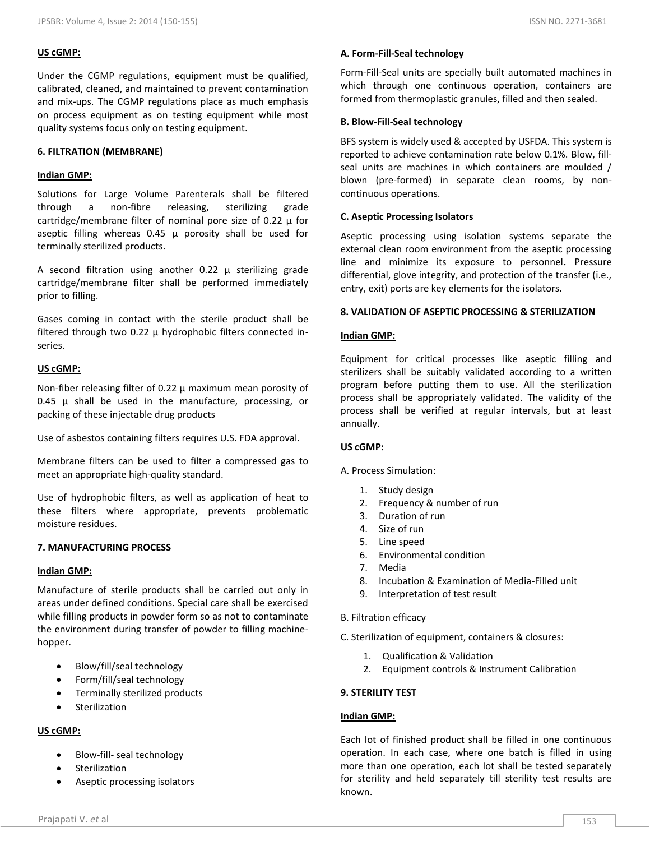#### **US cGMP:**

Under the CGMP regulations, equipment must be qualified, calibrated, cleaned, and maintained to prevent contamination and mix-ups. The CGMP regulations place as much emphasis on process equipment as on testing equipment while most quality systems focus only on testing equipment.

#### **6. FILTRATION (MEMBRANE)**

#### **Indian GMP:**

Solutions for Large Volume Parenterals shall be filtered through a non-fibre releasing, sterilizing grade cartridge/membrane filter of nominal pore size of 0.22  $\mu$  for aseptic filling whereas  $0.45 \mu$  porosity shall be used for terminally sterilized products.

A second filtration using another  $0.22 \mu$  sterilizing grade cartridge/membrane filter shall be performed immediately prior to filling.

Gases coming in contact with the sterile product shall be filtered through two 0.22  $\mu$  hydrophobic filters connected inseries.

#### **US cGMP:**

Non-fiber releasing filter of 0.22  $\mu$  maximum mean porosity of 0.45  $\mu$  shall be used in the manufacture, processing, or packing of these injectable drug products

Use of asbestos containing filters requires U.S. FDA approval.

Membrane filters can be used to filter a compressed gas to meet an appropriate high-quality standard.

Use of hydrophobic filters, as well as application of heat to these filters where appropriate, prevents problematic moisture residues.

#### **7. MANUFACTURING PROCESS**

#### **Indian GMP:**

Manufacture of sterile products shall be carried out only in areas under defined conditions. Special care shall be exercised while filling products in powder form so as not to contaminate the environment during transfer of powder to filling machinehopper.

- Blow/fill/seal technology
- Form/fill/seal technology
- Terminally sterilized products
- **•** Sterilization

## **US cGMP:**

- Blow-fill- seal technology
- Sterilization
- Aseptic processing isolators

#### **A. Form-Fill-Seal technology**

Form-Fill-Seal units are specially built automated machines in which through one continuous operation, containers are formed from thermoplastic granules, filled and then sealed.

#### **B. Blow-Fill-Seal technology**

BFS system is widely used & accepted by USFDA. This system is reported to achieve contamination rate below 0.1%. Blow, fillseal units are machines in which containers are moulded / blown (pre-formed) in separate clean rooms, by noncontinuous operations.

#### **C. Aseptic Processing Isolators**

Aseptic processing using isolation systems separate the external clean room environment from the aseptic processing line and minimize its exposure to personnel**.** Pressure differential, glove integrity, and protection of the transfer (i.e., entry, exit) ports are key elements for the isolators.

#### **8. VALIDATION OF ASEPTIC PROCESSING & STERILIZATION**

#### **Indian GMP:**

Equipment for critical processes like aseptic filling and sterilizers shall be suitably validated according to a written program before putting them to use. All the sterilization process shall be appropriately validated. The validity of the process shall be verified at regular intervals, but at least annually.

#### **US cGMP:**

#### A. Process Simulation:

- 1. Study design
- 2. Frequency & number of run
- 3. Duration of run
- 4. Size of run
- 5. Line speed
- 6. Environmental condition
- 7. Media
- 8. Incubation & Examination of Media-Filled unit
- 9. Interpretation of test result
- B. Filtration efficacy

C. Sterilization of equipment, containers & closures:

- 1. Qualification & Validation
- 2. Equipment controls & Instrument Calibration

#### **9. STERILITY TEST**

#### **Indian GMP:**

Each lot of finished product shall be filled in one continuous operation. In each case, where one batch is filled in using more than one operation, each lot shall be tested separately for sterility and held separately till sterility test results are known.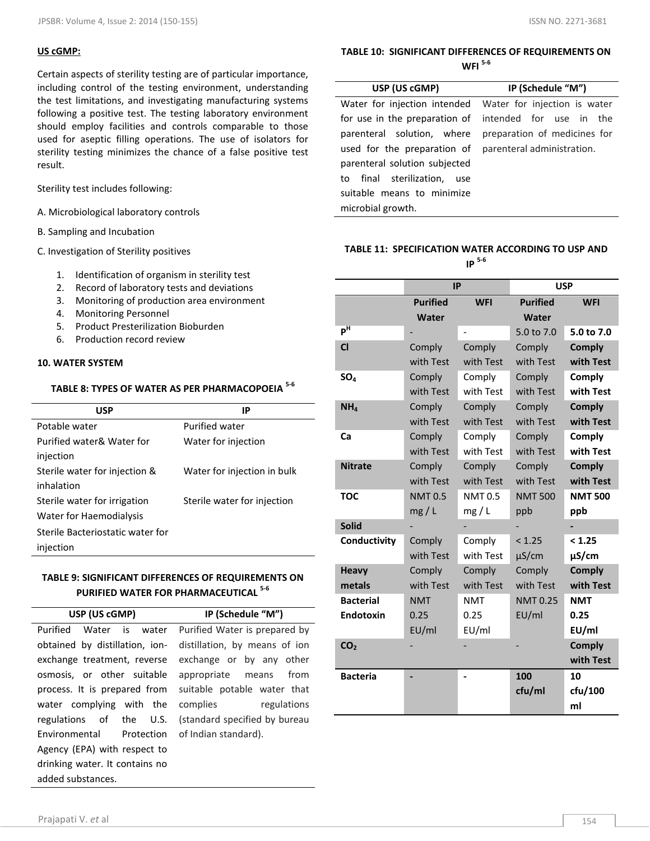## **US cGMP:**

Certain aspects of sterility testing are of particular importance, including control of the testing environment, understanding the test limitations, and investigating manufacturing systems following a positive test. The testing laboratory environment should employ facilities and controls comparable to those used for aseptic filling operations. The use of isolators for sterility testing minimizes the chance of a false positive test result.

Sterility test includes following:

- A. Microbiological laboratory controls
- B. Sampling and Incubation

C. Investigation of Sterility positives

- 1. Identification of organism in sterility test
- 2. Record of laboratory tests and deviations
- 3. Monitoring of production area environment
- 4. Monitoring Personnel
- 5. Product Presterilization Bioburden
- 6. Production record review

## **10. WATER SYSTEM**

## **TABLE 8: TYPES OF WATER AS PER PHARMACOPOEIA 5-6**

| <b>USP</b>                       | ΙP                          |
|----------------------------------|-----------------------------|
| Potable water                    | <b>Purified water</b>       |
| Purified water& Water for        | Water for injection         |
| injection                        |                             |
| Sterile water for injection &    | Water for injection in bulk |
| inhalation                       |                             |
| Sterile water for irrigation     | Sterile water for injection |
| Water for Haemodialysis          |                             |
| Sterile Bacteriostatic water for |                             |
| injection                        |                             |

## **TABLE 9: SIGNIFICANT DIFFERENCES OF REQUIREMENTS ON PURIFIED WATER FOR PHARMACEUTICAL 5-6**

| USP (US cGMP)                  | IP (Schedule "M")             |  |  |
|--------------------------------|-------------------------------|--|--|
| Purified<br>Water is water     | Purified Water is prepared by |  |  |
| obtained by distillation, ion- | distillation, by means of ion |  |  |
| exchange treatment, reverse    | exchange or by any other      |  |  |
| osmosis, or other suitable     | from<br>appropriate means     |  |  |
| process. It is prepared from   | suitable potable water that   |  |  |
| water complying with the       | complies<br>regulations       |  |  |
| regulations of the U.S.        | (standard specified by bureau |  |  |
| Environmental Protection       | of Indian standard).          |  |  |
| Agency (EPA) with respect to   |                               |  |  |
| drinking water. It contains no |                               |  |  |
| added substances.              |                               |  |  |

## **TABLE 10: SIGNIFICANT DIFFERENCES OF REQUIREMENTS ON WFI 5-6**

| USP (US cGMP)                                          | IP (Schedule "M")                                         |  |
|--------------------------------------------------------|-----------------------------------------------------------|--|
|                                                        | Water for injection intended Water for injection is water |  |
|                                                        | for use in the preparation of intended for use in the     |  |
| parenteral solution, where                             | preparation of medicines for                              |  |
| used for the preparation of parenteral administration. |                                                           |  |
| parenteral solution subjected                          |                                                           |  |
| to final sterilization, use                            |                                                           |  |
| suitable means to minimize                             |                                                           |  |
| microbial growth.                                      |                                                           |  |

## **TABLE 11: SPECIFICATION WATER ACCORDING TO USP AND IP 5-6**

|                  | <b>IP</b>       |               | <b>USP</b>      |                |
|------------------|-----------------|---------------|-----------------|----------------|
|                  | <b>Purified</b> | <b>WFI</b>    | <b>Purified</b> | <b>WFI</b>     |
|                  | Water           |               | Water           |                |
| $P$ <sup>H</sup> |                 |               | 5.0 to 7.0      | 5.0 to 7.0     |
| $CI$             | Comply          | Comply        | Comply          | <b>Comply</b>  |
|                  | with Test       | with Test     | with Test       | with Test      |
| SO <sub>4</sub>  | Comply          | Comply        | Comply          | Comply         |
|                  | with Test       | with Test     | with Test       | with Test      |
| NH <sub>4</sub>  | Comply          | Comply        | Comply          | <b>Comply</b>  |
|                  | with Test       | with Test     | with Test       | with Test      |
| Ca               | Comply          | Comply        | Comply          | Comply         |
|                  | with Test       | with Test     | with Test       | with Test      |
| <b>Nitrate</b>   | Comply          | Comply        | Comply          | <b>Comply</b>  |
|                  | with Test       | with Test     | with Test       | with Test      |
| <b>TOC</b>       | <b>NMT0.5</b>   | <b>NMT0.5</b> | <b>NMT 500</b>  | <b>NMT 500</b> |
|                  | mg/L            | mg/L          | ppb             | ppb            |
| <b>Solid</b>     |                 |               |                 |                |
| Conductivity     | Comply          | Comply        | < 1.25          | < 1.25         |
|                  | with Test       | with Test     | $\mu$ S/cm      | µS/cm          |
| <b>Heavy</b>     | Comply          | Comply        | Comply          | <b>Comply</b>  |
| metals           | with Test       | with Test     | with Test       | with Test      |
| <b>Bacterial</b> | <b>NMT</b>      | NMT           | NMT 0.25        | <b>NMT</b>     |
| <b>Endotoxin</b> | 0.25            | 0.25          | EU/ml           | 0.25           |
|                  | EU/ml           | EU/ml         |                 | EU/ml          |
| CO <sub>2</sub>  |                 |               |                 | <b>Comply</b>  |
|                  |                 |               |                 | with Test      |
| <b>Bacteria</b>  |                 |               | 100             | 10             |
|                  |                 |               | cfu/ml          | cfu/100        |
|                  |                 |               |                 | ml             |